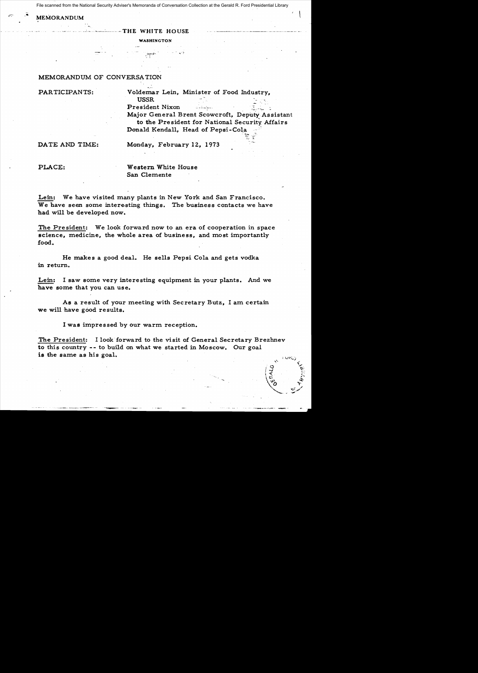File scanned from the National Security Adviser's Memoranda of Conversation Collection at the Gerald R. Ford Presidential Library

## $\mathbf{M}$ . MEMORANDUM

## $-$  THE WHITE HOUSE

WASHINGTON

## MEMORANDUM OF CONVERSATION

PARTICIPANTS: Voldemar Lein, Minister of Food Industry, USSR ." President Nixon ;~,-"-~ Major General Brent Scowcroft, Depu~Assistant

to the President for National Security Affairs Donald Kendall, Head of Pepsi-Cola

1.~ ,\_~:~

DATE AND TIME: Monday, February 12, 1973

PLACE: Western White House San Clemente

Lein: We have visited many plants in New York and San Francisco. We have seen some interesting things. The business contacts we have had will be developed now.

The President: We look forward now to an era of cooperation in space science, medicine, the whole area of business, and most importantly food.

He makes a good deal. He sells Pepsi Cola and gets vodka in return.

Lein: I saw some very interesting equipment in your plants. And we have some that you can use.

As a result of your meeting with Secretary Butz, I am certain we will have good results.

I was impressed by our warm reception.

The President: I look forward to the visit of General Secretary Brezhnev to this country -- to build on what we started in Moscow. Our goal is the same as his goal.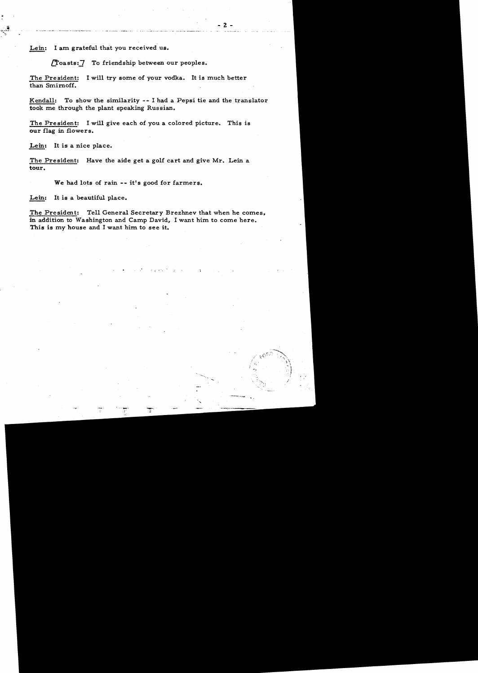'-.

/'

Lein: I am grateful that you received us.

 $T$ oasts: $7$  To friendship between our peoples.

The President: I will try some of your vodka. It is much better than Smirnoff.

Kendall: To show the similarity - - I had a Pepsi tie and the translator took me through the plant speaking Russian.

The President: I will give each of you a colored picture. This is our flag in flowers.

Lein: It is a nice place.

The President: Have the aide get a golf cart and give Mr. Lein a tour.

We had lots of rain -- it's good for farmers.

Lein: It is a beautiful place.

The President: Tell General Secretary Brezhnev that when he comes, in addition to Washington and Camp David. I want him to come here. This is my house and I want him to see it.

; .. ~'.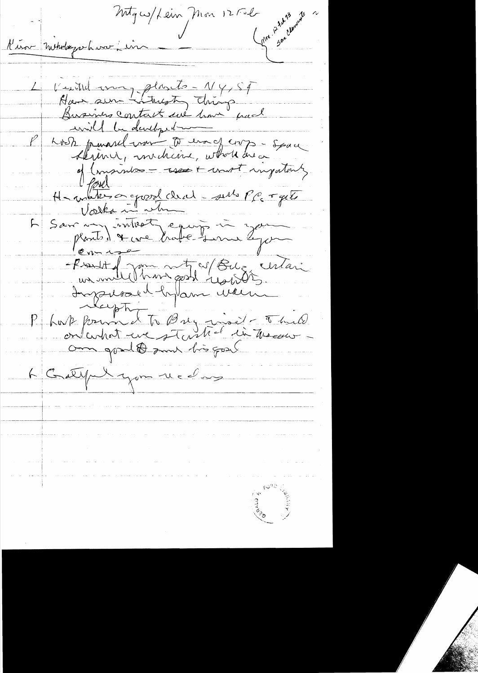Møyes/Lein Mon 12506 Compa 12 24 rates Kirou metalegarhiver i in Veutil avery plants - 1/4,54 Hair sur Litresty things will be developed Koste pauval mont to enangemp - space of (impirities - uses + unit injutant Howling or groot clear - sens PC + get Le Sanction de Commencer de la Commence de la Commence de la Commence de la Commence de la Containe de la Commence de la Commence de la Commence de la Commence de la Commence de la Commence de la Commence de la Commence de 6 Greepe Lyon receive